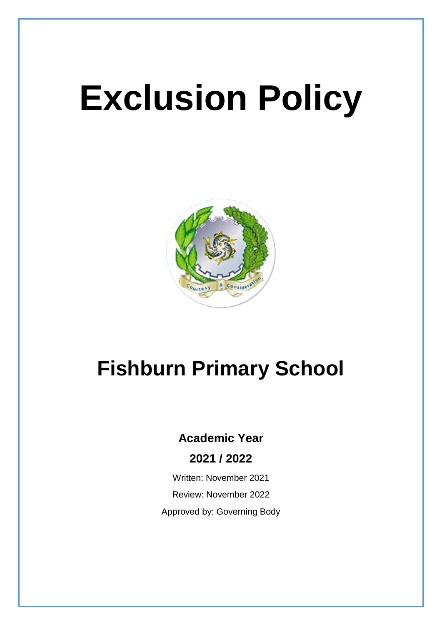# **Exclusion Policy**



# **Fishburn Primary School**

# **Academic Year**

# **2021 / 2022**

Written: November 2021 Review: November 2022 Approved by: Governing Body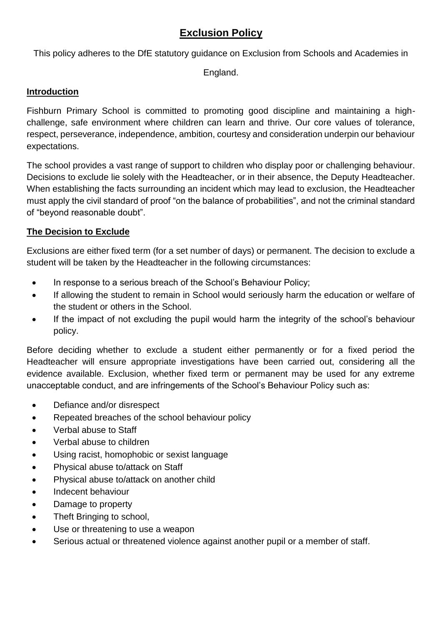## **Exclusion Policy**

This policy adheres to the DfE statutory guidance on Exclusion from Schools and Academies in

England.

#### **Introduction**

Fishburn Primary School is committed to promoting good discipline and maintaining a highchallenge, safe environment where children can learn and thrive. Our core values of tolerance, respect, perseverance, independence, ambition, courtesy and consideration underpin our behaviour expectations.

The school provides a vast range of support to children who display poor or challenging behaviour. Decisions to exclude lie solely with the Headteacher, or in their absence, the Deputy Headteacher. When establishing the facts surrounding an incident which may lead to exclusion, the Headteacher must apply the civil standard of proof "on the balance of probabilities", and not the criminal standard of "beyond reasonable doubt".

### **The Decision to Exclude**

Exclusions are either fixed term (for a set number of days) or permanent. The decision to exclude a student will be taken by the Headteacher in the following circumstances:

- In response to a serious breach of the School's Behaviour Policy;
- If allowing the student to remain in School would seriously harm the education or welfare of the student or others in the School.
- If the impact of not excluding the pupil would harm the integrity of the school's behaviour policy.

Before deciding whether to exclude a student either permanently or for a fixed period the Headteacher will ensure appropriate investigations have been carried out, considering all the evidence available. Exclusion, whether fixed term or permanent may be used for any extreme unacceptable conduct, and are infringements of the School's Behaviour Policy such as:

- Defiance and/or disrespect
- Repeated breaches of the school behaviour policy
- Verbal abuse to Staff
- Verbal abuse to children
- Using racist, homophobic or sexist language
- Physical abuse to/attack on Staff
- Physical abuse to/attack on another child
- Indecent behaviour
- Damage to property
- Theft Bringing to school,
- Use or threatening to use a weapon
- Serious actual or threatened violence against another pupil or a member of staff.